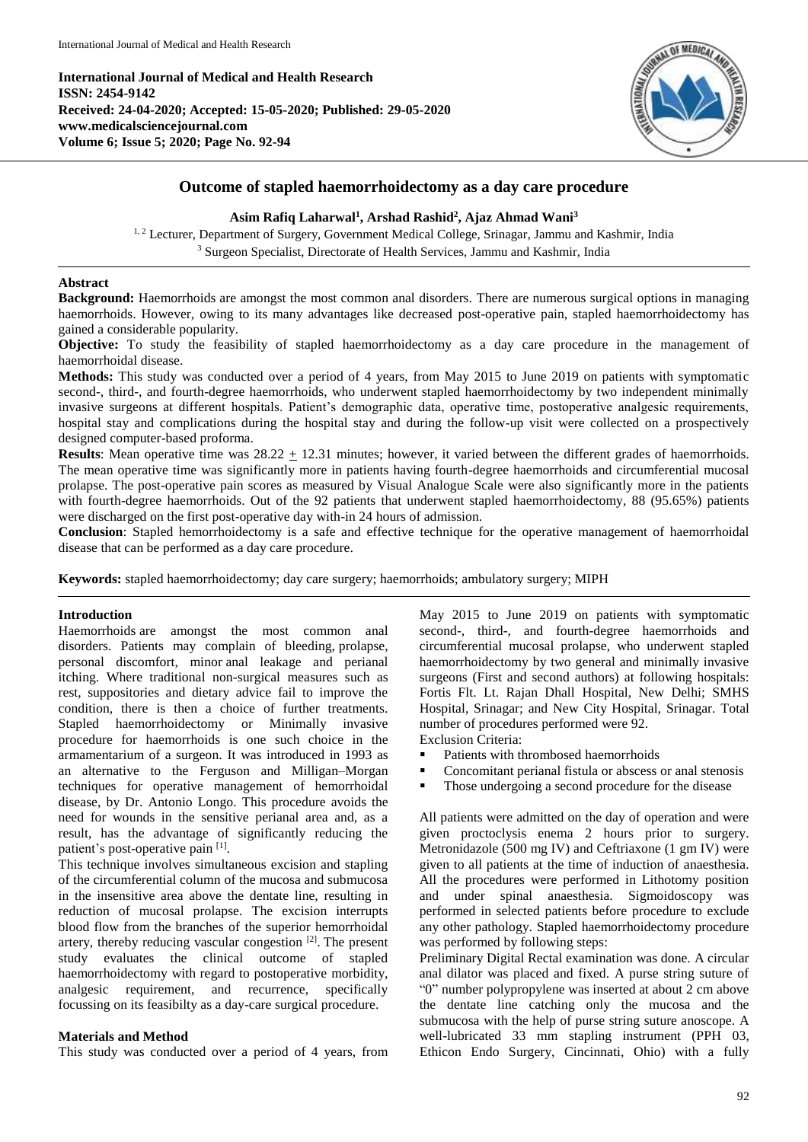**International Journal of Medical and Health Research ISSN: 2454-9142 Received: 24-04-2020; Accepted: 15-05-2020; Published: 29-05-2020 www.medicalsciencejournal.com Volume 6; Issue 5; 2020; Page No. 92-94**



# **Outcome of stapled haemorrhoidectomy as a day care procedure**

## **Asim Rafiq Laharwal<sup>1</sup> , Arshad Rashid<sup>2</sup> , Ajaz Ahmad Wani<sup>3</sup>**

<sup>1, 2</sup> Lecturer, Department of Surgery, Government Medical College, Srinagar, Jammu and Kashmir, India <sup>3</sup> Surgeon Specialist, Directorate of Health Services, Jammu and Kashmir, India

### **Abstract**

**Background:** Haemorrhoids are amongst the most common anal disorders. There are numerous surgical options in managing haemorrhoids. However, owing to its many advantages like decreased post-operative pain, stapled haemorrhoidectomy has gained a considerable popularity.

**Objective:** To study the feasibility of stapled haemorrhoidectomy as a day care procedure in the management of haemorrhoidal disease.

**Methods:** This study was conducted over a period of 4 years, from May 2015 to June 2019 on patients with symptomatic second-, third-, and fourth-degree haemorrhoids, who underwent stapled haemorrhoidectomy by two independent minimally invasive surgeons at different hospitals. Patient's demographic data, operative time, postoperative analgesic requirements, hospital stay and complications during the hospital stay and during the follow-up visit were collected on a prospectively designed computer-based proforma.

**Results**: Mean operative time was  $28.22 + 12.31$  minutes; however, it varied between the different grades of haemorrhoids. The mean operative time was significantly more in patients having fourth-degree haemorrhoids and circumferential mucosal prolapse. The post-operative pain scores as measured by Visual Analogue Scale were also significantly more in the patients with fourth-degree haemorrhoids. Out of the 92 patients that underwent stapled haemorrhoidectomy, 88 (95.65%) patients were discharged on the first post-operative day with-in 24 hours of admission.

**Conclusion**: Stapled hemorrhoidectomy is a safe and effective technique for the operative management of haemorrhoidal disease that can be performed as a day care procedure.

**Keywords:** stapled haemorrhoidectomy; day care surgery; haemorrhoids; ambulatory surgery; MIPH

## **Introduction**

Haemorrhoids are amongst the most common anal disorders. Patients may complain of bleeding, prolapse, personal discomfort, minor anal leakage and perianal itching. Where traditional non-surgical measures such as rest, suppositories and dietary advice fail to improve the condition, there is then a choice of further treatments. Stapled haemorrhoidectomy or Minimally invasive procedure for haemorrhoids is one such choice in the armamentarium of a surgeon. It was introduced in 1993 as an alternative to the Ferguson and Milligan–Morgan techniques for operative management of hemorrhoidal disease, by Dr. Antonio Longo. This procedure avoids the need for wounds in the sensitive perianal area and, as a result, has the advantage of significantly reducing the patient's post-operative pain [1].

This technique involves simultaneous excision and stapling of the circumferential column of the mucosa and submucosa in the insensitive area above the dentate line, resulting in reduction of mucosal prolapse. The excision interrupts blood flow from the branches of the superior hemorrhoidal artery, thereby reducing vascular congestion [2]. The present study evaluates the clinical outcome of stapled haemorrhoidectomy with regard to postoperative morbidity, analgesic requirement, and recurrence, specifically focussing on its feasibilty as a day-care surgical procedure.

## **Materials and Method**

This study was conducted over a period of 4 years, from

May 2015 to June 2019 on patients with symptomatic second-, third-, and fourth-degree haemorrhoids and circumferential mucosal prolapse, who underwent stapled haemorrhoidectomy by two general and minimally invasive surgeons (First and second authors) at following hospitals: Fortis Flt. Lt. Rajan Dhall Hospital, New Delhi; SMHS Hospital, Srinagar; and New City Hospital, Srinagar. Total number of procedures performed were 92.

- Exclusion Criteria:
- Patients with thrombosed haemorrhoids
- Concomitant perianal fistula or abscess or anal stenosis
- Those undergoing a second procedure for the disease

All patients were admitted on the day of operation and were given proctoclysis enema 2 hours prior to surgery. Metronidazole (500 mg IV) and Ceftriaxone (1 gm IV) were given to all patients at the time of induction of anaesthesia. All the procedures were performed in Lithotomy position and under spinal anaesthesia. Sigmoidoscopy was performed in selected patients before procedure to exclude any other pathology. Stapled haemorrhoidectomy procedure was performed by following steps:

Preliminary Digital Rectal examination was done. A circular anal dilator was placed and fixed. A purse string suture of "0" number polypropylene was inserted at about 2 cm above the dentate line catching only the mucosa and the submucosa with the help of purse string suture anoscope. A well-lubricated 33 mm stapling instrument (PPH 03, Ethicon Endo Surgery, Cincinnati, Ohio) with a fully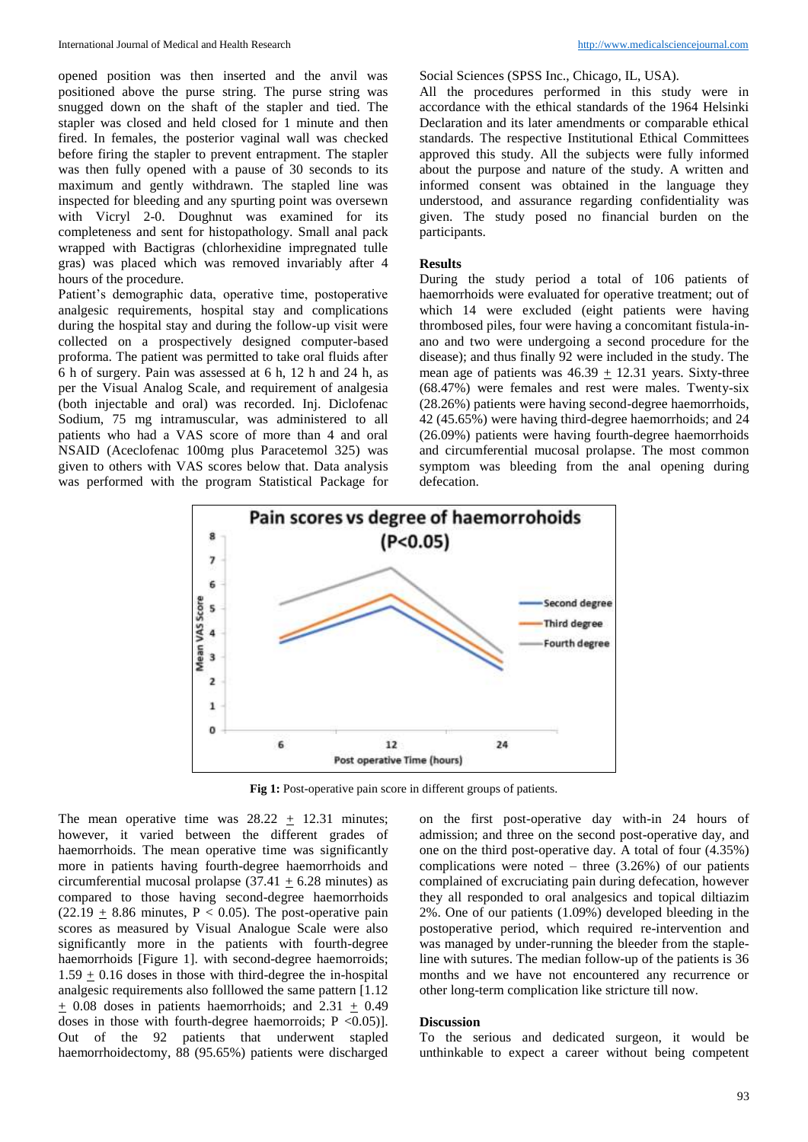opened position was then inserted and the anvil was positioned above the purse string. The purse string was snugged down on the shaft of the stapler and tied. The stapler was closed and held closed for 1 minute and then fired. In females, the posterior vaginal wall was checked before firing the stapler to prevent entrapment. The stapler was then fully opened with a pause of 30 seconds to its maximum and gently withdrawn. The stapled line was inspected for bleeding and any spurting point was oversewn with Vicryl 2-0. Doughnut was examined for its completeness and sent for histopathology. Small anal pack wrapped with Bactigras (chlorhexidine impregnated tulle gras) was placed which was removed invariably after 4 hours of the procedure.

Patient's demographic data, operative time, postoperative analgesic requirements, hospital stay and complications during the hospital stay and during the follow-up visit were collected on a prospectively designed computer-based proforma. The patient was permitted to take oral fluids after 6 h of surgery. Pain was assessed at 6 h, 12 h and 24 h, as per the Visual Analog Scale, and requirement of analgesia (both injectable and oral) was recorded. Inj. Diclofenac Sodium, 75 mg intramuscular, was administered to all patients who had a VAS score of more than 4 and oral NSAID (Aceclofenac 100mg plus Paracetemol 325) was given to others with VAS scores below that. Data analysis was performed with the program Statistical Package for

Social Sciences (SPSS Inc., Chicago, IL, USA).

All the procedures performed in this study were in accordance with the ethical standards of the 1964 Helsinki Declaration and its later amendments or comparable ethical standards. The respective Institutional Ethical Committees approved this study. All the subjects were fully informed about the purpose and nature of the study. A written and informed consent was obtained in the language they understood, and assurance regarding confidentiality was given. The study posed no financial burden on the participants.

### **Results**

During the study period a total of 106 patients of haemorrhoids were evaluated for operative treatment; out of which 14 were excluded (eight patients were having thrombosed piles, four were having a concomitant fistula-inano and two were undergoing a second procedure for the disease); and thus finally 92 were included in the study. The mean age of patients was  $46.39 + 12.31$  years. Sixty-three (68.47%) were females and rest were males. Twenty-six (28.26%) patients were having second-degree haemorrhoids, 42 (45.65%) were having third-degree haemorrhoids; and 24 (26.09%) patients were having fourth-degree haemorrhoids and circumferential mucosal prolapse. The most common symptom was bleeding from the anal opening during defecation.



**Fig 1:** Post-operative pain score in different groups of patients.

The mean operative time was  $28.22 \pm 12.31$  minutes; however, it varied between the different grades of haemorrhoids. The mean operative time was significantly more in patients having fourth-degree haemorrhoids and circumferential mucosal prolapse  $(37.41 \pm 6.28 \text{ minutes})$  as compared to those having second-degree haemorrhoids  $(22.19 \pm 8.86 \text{ minutes}, P < 0.05)$ . The post-operative pain scores as measured by Visual Analogue Scale were also significantly more in the patients with fourth-degree haemorrhoids [Figure 1]. with second-degree haemorroids;  $1.59 + 0.16$  doses in those with third-degree the in-hospital analgesic requirements also folllowed the same pattern [1.12  $\pm$  0.08 doses in patients haemorrhoids; and 2.31  $\pm$  0.49 doses in those with fourth-degree haemorroids;  $P < 0.05$ )]. Out of the 92 patients that underwent stapled haemorrhoidectomy, 88 (95.65%) patients were discharged

on the first post-operative day with-in 24 hours of admission; and three on the second post-operative day, and one on the third post-operative day. A total of four (4.35%) complications were noted – three  $(3.26%)$  of our patients complained of excruciating pain during defecation, however they all responded to oral analgesics and topical diltiazim 2%. One of our patients (1.09%) developed bleeding in the postoperative period, which required re-intervention and was managed by under-running the bleeder from the stapleline with sutures. The median follow-up of the patients is 36 months and we have not encountered any recurrence or other long-term complication like stricture till now.

### **Discussion**

To the serious and dedicated surgeon, it would be unthinkable to expect a career without being competent